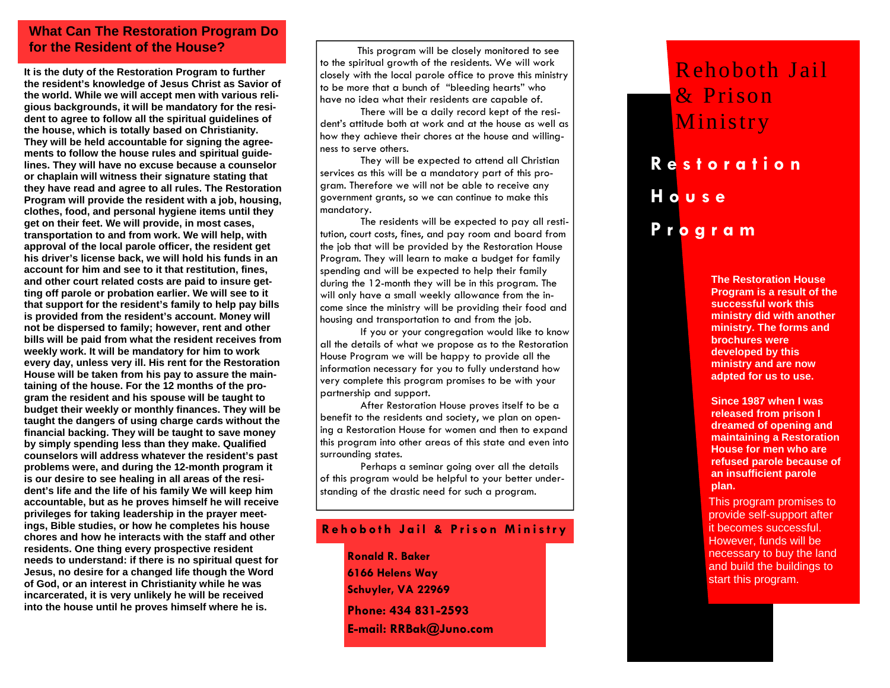## **What Can The Restoration Program Do for the Resident of the House?**

**It is the duty of the Restoration Program to further the resident's knowledge of Jesus Christ as Savior of the world. While we will accept men with various religious backgrounds, it will be mandatory for the resident to agree to follow all the spiritual guidelines of the house, which is totally based on Christianity. They will be held accountable for signing the agreements to follow the house rules and spiritual guidelines. They will have no excuse because a counselor or chaplain will witness their signature stating that they have read and agree to all rules. The Restoration Program will provide the resident with a job, housing, clothes, food, and personal hygiene items until they get on their feet. We will provide, in most cases, transportation to and from work. We will help, with approval of the local parole officer, the resident get his driver's license back, we will hold his funds in an account for him and see to it that restitution, fines, and other court related costs are paid to insure getting off parole or probation earlier. We will see to it that support for the resident's family to help pay bills is provided from the resident's account. Money will not be dispersed to family; however, rent and other bills will be paid from what the resident receives from weekly work. It will be mandatory for him to work every day, unless very ill. His rent for the Restoration House will be taken from his pay to assure the maintaining of the house. For the 12 months of the program the resident and his spouse will be taught to budget their weekly or monthly finances. They will be taught the dangers of using charge cards without the financial backing. They will be taught to save money by simply spending less than they make. Qualified counselors will address whatever the resident's past problems were, and during the 12-month program it is our desire to see healing in all areas of the resident's life and the life of his family We will keep him accountable, but as he proves himself he will receive privileges for taking leadership in the prayer meetings, Bible studies, or how he completes his house chores and how he interacts with the staff and other residents. One thing every prospective resident needs to understand: if there is no spiritual quest for Jesus, no desire for a changed life though the Word of God, or an interest in Christianity while he was incarcerated, it is very unlikely he will be received into the house until he proves himself where he is.**

 This program will be closely monitored to see to the spiritual growth of the residents. We will work closely with the local parole office to prove this ministry to be more that a bunch of "bleeding hearts" who have no idea what their residents are capable of.

 There will be a daily record kept of the resident's attitude both at work and at the house as well as how they achieve their chores at the house and willingness to serve others.

 They will be expected to attend all Christian services as this will be a mandatory part of this program. Therefore we will not be able to receive any government grants, so we can continue to make this mandatory.

 The residents will be expected to pay all restitution, court costs, fines, and pay room and board from the job that will be provided by the Restoration House Program. They will learn to make a budget for family spending and will be expected to help their family during the 12-month they will be in this program. The will only have a small weekly allowance from the income since the ministry will be providing their food and housing and transportation to and from the job.

 If you or your congregation would like to know all the details of what we propose as to the Restoration House Program we will be happy to provide all the information necessary for you to fully understand how very complete this program promises to be with your partnership and support.

 After Restoration House proves itself to be a benefit to the residents and society, we plan on opening a Restoration House for women and then to expand this program into other areas of this state and even into surrounding states.

Perhaps a seminar going over all the details of this program would be helpful to your better understanding of the drastic need for such a program.

### **Rehoboth Jail & Prison Ministry**

**Ronald R. Baker 6166 Helens Way Schuyler, VA 22969 Phone: 434 831-2593 E-mail: RRBak@Juno.com** 

# **Restoration House Program**  Rehoboth Jail & Prison Ministry

**The Restoration House Program is a result of the successful work this ministry did with another ministry. The forms and brochures were developed by this ministry and are now adpted for us to use.** 

**Since 1987 when I was released from prison I dreamed of opening and maintaining a Restoration House for men who are refused parole because of an insufficient parole plan.** 

This program promises to provide self-support after it becomes successful. However, funds will be necessary to buy the land and build the buildings to start this program.